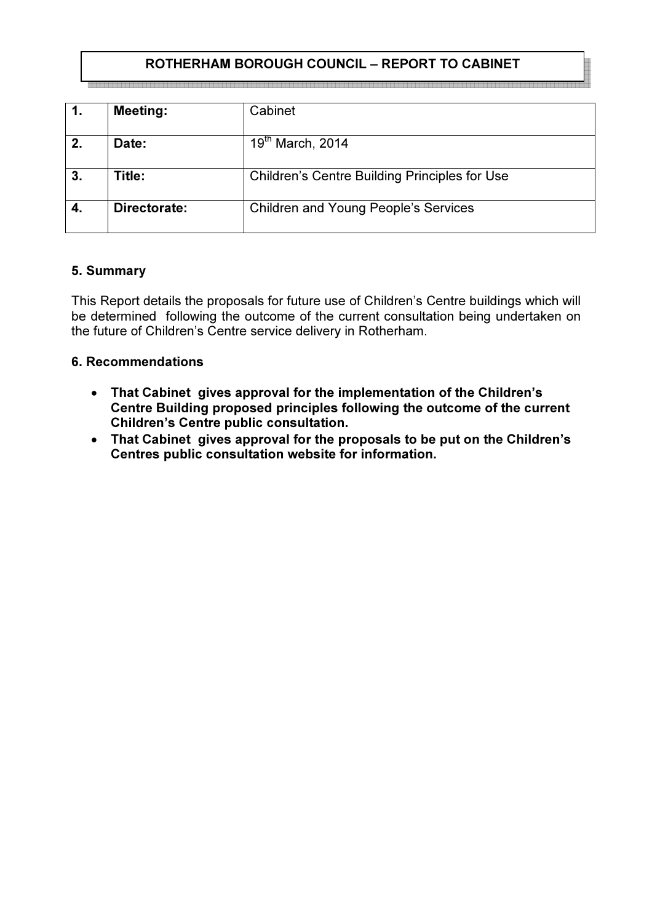## ROTHERHAM BOROUGH COUNCIL – REPORT TO CABINET

|    | <b>Meeting:</b> | Cabinet                                              |
|----|-----------------|------------------------------------------------------|
| 2. | Date:           | $19th$ March, 2014                                   |
| 3. | Title:          | <b>Children's Centre Building Principles for Use</b> |
|    | Directorate:    | <b>Children and Young People's Services</b>          |

#### 5. Summary

This Report details the proposals for future use of Children's Centre buildings which will be determined following the outcome of the current consultation being undertaken on the future of Children's Centre service delivery in Rotherham.

#### 6. Recommendations

- That Cabinet gives approval for the implementation of the Children's Centre Building proposed principles following the outcome of the current Children's Centre public consultation.
- That Cabinet gives approval for the proposals to be put on the Children's Centres public consultation website for information.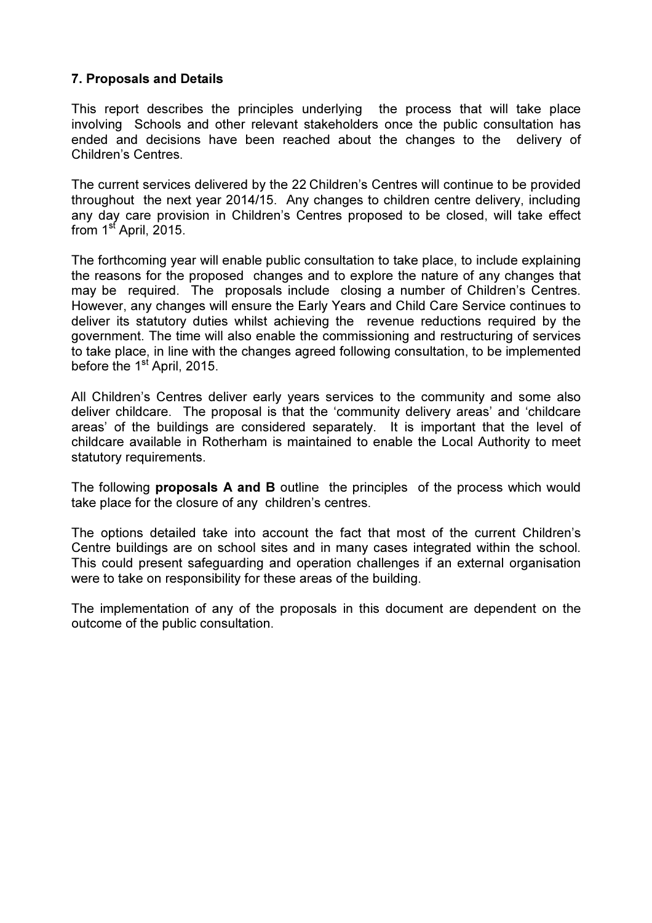### 7. Proposals and Details

This report describes the principles underlying the process that will take place involving Schools and other relevant stakeholders once the public consultation has ended and decisions have been reached about the changes to the delivery of Children's Centres.

The current services delivered by the 22 Children's Centres will continue to be provided throughout the next year 2014/15. Any changes to children centre delivery, including any day care provision in Children's Centres proposed to be closed, will take effect from 1<sup>st</sup> April, 2015.

The forthcoming year will enable public consultation to take place, to include explaining the reasons for the proposed changes and to explore the nature of any changes that may be required. The proposals include closing a number of Children's Centres. However, any changes will ensure the Early Years and Child Care Service continues to deliver its statutory duties whilst achieving the revenue reductions required by the government. The time will also enable the commissioning and restructuring of services to take place, in line with the changes agreed following consultation, to be implemented before the 1<sup>st</sup> April, 2015.

All Children's Centres deliver early years services to the community and some also deliver childcare. The proposal is that the 'community delivery areas' and 'childcare areas' of the buildings are considered separately. It is important that the level of childcare available in Rotherham is maintained to enable the Local Authority to meet statutory requirements.

The following **proposals A and B** outline the principles of the process which would take place for the closure of any children's centres.

The options detailed take into account the fact that most of the current Children's Centre buildings are on school sites and in many cases integrated within the school. This could present safeguarding and operation challenges if an external organisation were to take on responsibility for these areas of the building.

The implementation of any of the proposals in this document are dependent on the outcome of the public consultation.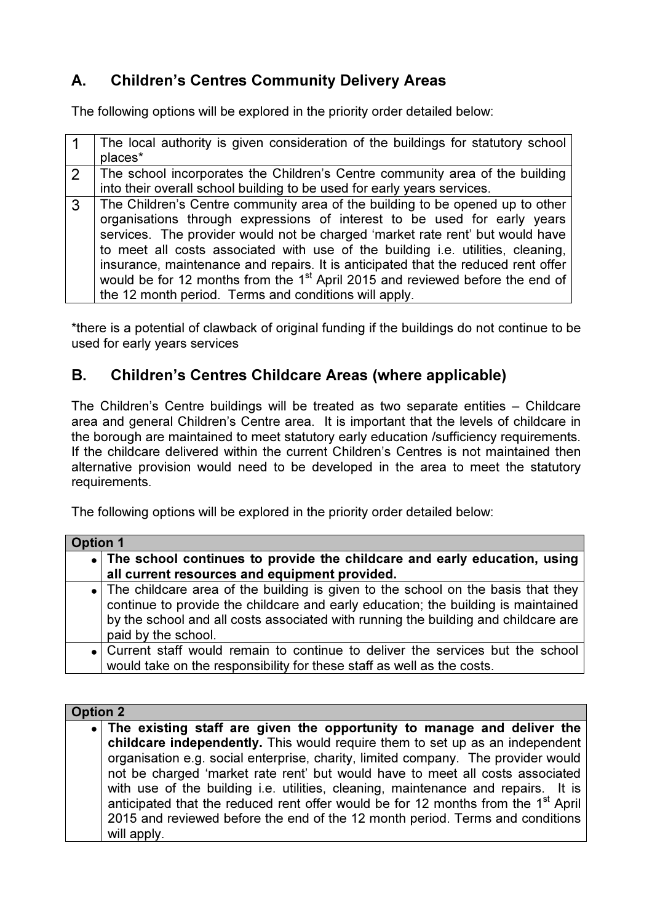# A. Children's Centres Community Delivery Areas

The following options will be explored in the priority order detailed below:

|               | The local authority is given consideration of the buildings for statutory school<br>places*                                                                                                                                                                                                                                                                                                                                                                                                                                                                              |
|---------------|--------------------------------------------------------------------------------------------------------------------------------------------------------------------------------------------------------------------------------------------------------------------------------------------------------------------------------------------------------------------------------------------------------------------------------------------------------------------------------------------------------------------------------------------------------------------------|
| $\mathcal{P}$ | The school incorporates the Children's Centre community area of the building<br>into their overall school building to be used for early years services.                                                                                                                                                                                                                                                                                                                                                                                                                  |
| 3             | The Children's Centre community area of the building to be opened up to other<br>organisations through expressions of interest to be used for early years<br>services. The provider would not be charged 'market rate rent' but would have<br>to meet all costs associated with use of the building i.e. utilities, cleaning,<br>insurance, maintenance and repairs. It is anticipated that the reduced rent offer<br>would be for 12 months from the 1 <sup>st</sup> April 2015 and reviewed before the end of<br>the 12 month period. Terms and conditions will apply. |

\*there is a potential of clawback of original funding if the buildings do not continue to be used for early years services

# B. Children's Centres Childcare Areas (where applicable)

The Children's Centre buildings will be treated as two separate entities – Childcare area and general Children's Centre area. It is important that the levels of childcare in the borough are maintained to meet statutory early education /sufficiency requirements. If the childcare delivered within the current Children's Centres is not maintained then alternative provision would need to be developed in the area to meet the statutory requirements.

The following options will be explored in the priority order detailed below:

| <b>Option 1</b> |                                                                                                                                                                                                                                                                                      |  |
|-----------------|--------------------------------------------------------------------------------------------------------------------------------------------------------------------------------------------------------------------------------------------------------------------------------------|--|
|                 | • The school continues to provide the childcare and early education, using                                                                                                                                                                                                           |  |
|                 | all current resources and equipment provided.                                                                                                                                                                                                                                        |  |
|                 | • The childcare area of the building is given to the school on the basis that they<br>continue to provide the childcare and early education; the building is maintained<br>by the school and all costs associated with running the building and childcare are<br>paid by the school. |  |
|                 | • Current staff would remain to continue to deliver the services but the school<br>would take on the responsibility for these staff as well as the costs.                                                                                                                            |  |

| <b>Option 2</b> |                                                                                               |  |
|-----------------|-----------------------------------------------------------------------------------------------|--|
|                 | • The existing staff are given the opportunity to manage and deliver the                      |  |
|                 | childcare independently. This would require them to set up as an independent                  |  |
|                 | organisation e.g. social enterprise, charity, limited company. The provider would             |  |
|                 | not be charged 'market rate rent' but would have to meet all costs associated                 |  |
|                 | with use of the building i.e. utilities, cleaning, maintenance and repairs. It is             |  |
|                 | anticipated that the reduced rent offer would be for 12 months from the 1 <sup>st</sup> April |  |
|                 | 2015 and reviewed before the end of the 12 month period. Terms and conditions                 |  |
|                 | will apply.                                                                                   |  |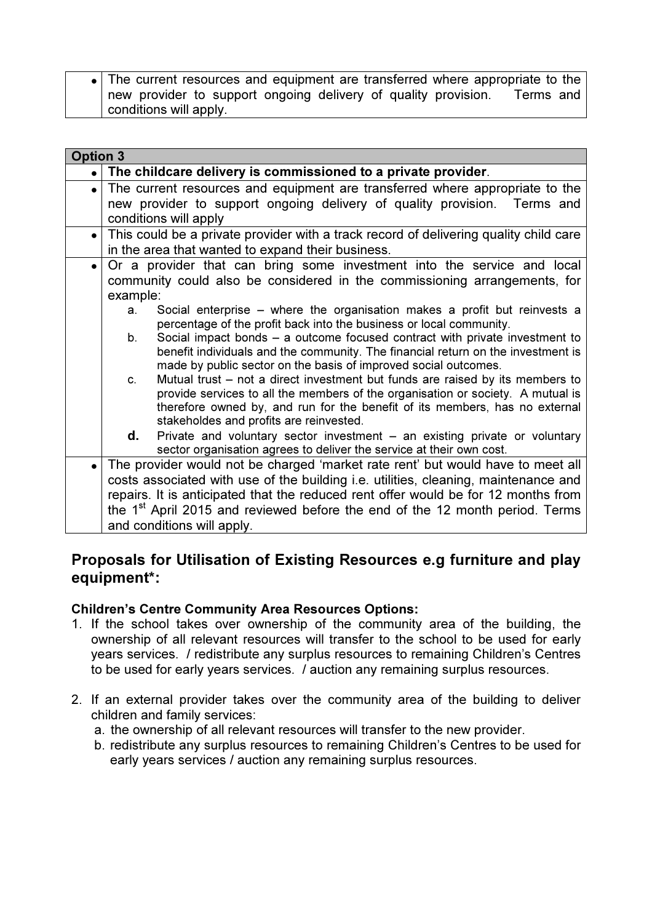The current resources and equipment are transferred where appropriate to the new provider to support ongoing delivery of quality provision. Terms and conditions will apply.

| <b>Option 3</b> |                                                                                          |                                                                                                                                                                 |
|-----------------|------------------------------------------------------------------------------------------|-----------------------------------------------------------------------------------------------------------------------------------------------------------------|
|                 |                                                                                          | . The childcare delivery is commissioned to a private provider.                                                                                                 |
| $\bullet$       |                                                                                          | The current resources and equipment are transferred where appropriate to the                                                                                    |
|                 |                                                                                          | new provider to support ongoing delivery of quality provision. Terms and                                                                                        |
|                 |                                                                                          | conditions will apply                                                                                                                                           |
| $\bullet$       |                                                                                          | This could be a private provider with a track record of delivering quality child care                                                                           |
|                 |                                                                                          | in the area that wanted to expand their business.                                                                                                               |
| $\bullet$       |                                                                                          | Or a provider that can bring some investment into the service and local                                                                                         |
|                 |                                                                                          | community could also be considered in the commissioning arrangements, for                                                                                       |
|                 | example:                                                                                 |                                                                                                                                                                 |
|                 | a.                                                                                       | Social enterprise – where the organisation makes a profit but reinvests a                                                                                       |
|                 |                                                                                          | percentage of the profit back into the business or local community.                                                                                             |
|                 | b.                                                                                       | Social impact bonds – a outcome focused contract with private investment to<br>benefit individuals and the community. The financial return on the investment is |
|                 |                                                                                          | made by public sector on the basis of improved social outcomes.                                                                                                 |
|                 | C.                                                                                       | Mutual trust – not a direct investment but funds are raised by its members to                                                                                   |
|                 |                                                                                          | provide services to all the members of the organisation or society. A mutual is                                                                                 |
|                 |                                                                                          | therefore owned by, and run for the benefit of its members, has no external                                                                                     |
|                 |                                                                                          | stakeholdes and profits are reinvested.                                                                                                                         |
|                 | d.                                                                                       | Private and voluntary sector investment $-$ an existing private or voluntary                                                                                    |
|                 |                                                                                          | sector organisation agrees to deliver the service at their own cost.                                                                                            |
|                 |                                                                                          | The provider would not be charged 'market rate rent' but would have to meet all                                                                                 |
|                 |                                                                                          | costs associated with use of the building <i>i.e.</i> utilities, cleaning, maintenance and                                                                      |
|                 |                                                                                          | repairs. It is anticipated that the reduced rent offer would be for 12 months from                                                                              |
|                 | the 1 <sup>st</sup> April 2015 and reviewed before the end of the 12 month period. Terms |                                                                                                                                                                 |
|                 | and conditions will apply.                                                               |                                                                                                                                                                 |

# Proposals for Utilisation of Existing Resources e.g furniture and play equipment\*:

### Children's Centre Community Area Resources Options:

- 1. If the school takes over ownership of the community area of the building, the ownership of all relevant resources will transfer to the school to be used for early years services. / redistribute any surplus resources to remaining Children's Centres to be used for early years services. / auction any remaining surplus resources.
- 2. If an external provider takes over the community area of the building to deliver children and family services:
	- a. the ownership of all relevant resources will transfer to the new provider.
	- b. redistribute any surplus resources to remaining Children's Centres to be used for early years services / auction any remaining surplus resources.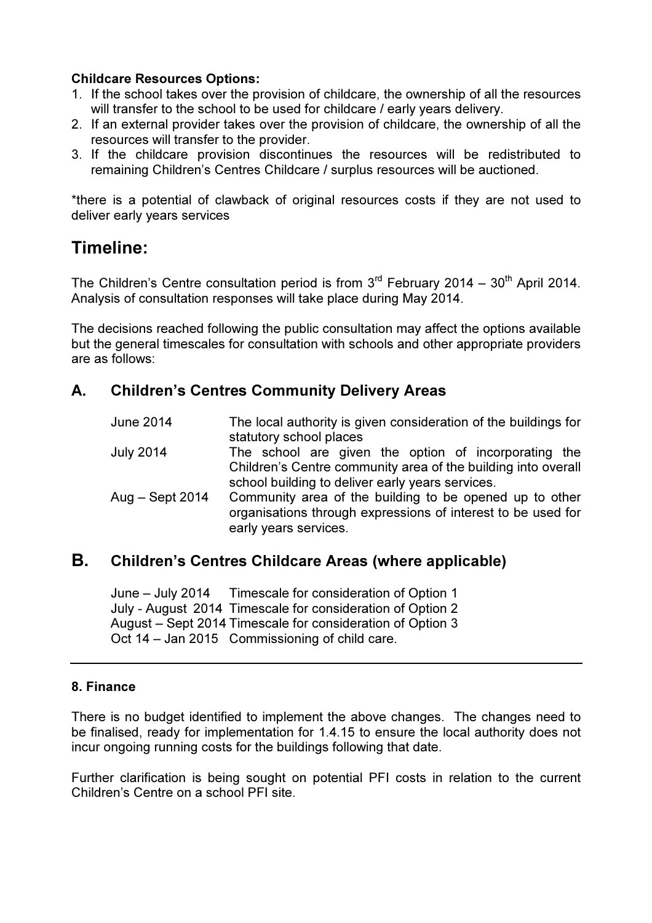#### Childcare Resources Options:

- 1. If the school takes over the provision of childcare, the ownership of all the resources will transfer to the school to be used for childcare / early years delivery.
- 2. If an external provider takes over the provision of childcare, the ownership of all the resources will transfer to the provider.
- 3. If the childcare provision discontinues the resources will be redistributed to remaining Children's Centres Childcare / surplus resources will be auctioned.

\*there is a potential of clawback of original resources costs if they are not used to deliver early years services

# Timeline:

The Children's Centre consultation period is from  $3<sup>rd</sup>$  February 2014 – 30<sup>th</sup> April 2014. Analysis of consultation responses will take place during May 2014.

The decisions reached following the public consultation may affect the options available but the general timescales for consultation with schools and other appropriate providers are as follows:

# A. Children's Centres Community Delivery Areas

| <b>June 2014</b> | The local authority is given consideration of the buildings for<br>statutory school places                                                                                |
|------------------|---------------------------------------------------------------------------------------------------------------------------------------------------------------------------|
| <b>July 2014</b> | The school are given the option of incorporating the<br>Children's Centre community area of the building into overall<br>school building to deliver early years services. |
| Aug – Sept 2014  | Community area of the building to be opened up to other<br>organisations through expressions of interest to be used for<br>early years services.                          |

## B. Children's Centres Childcare Areas (where applicable)

June – July 2014 Timescale for consideration of Option 1 July - August 2014 Timescale for consideration of Option 2 August – Sept 2014 Timescale for consideration of Option 3 Oct 14 – Jan 2015 Commissioning of child care.

### 8. Finance

There is no budget identified to implement the above changes. The changes need to be finalised, ready for implementation for 1.4.15 to ensure the local authority does not incur ongoing running costs for the buildings following that date.

Further clarification is being sought on potential PFI costs in relation to the current Children's Centre on a school PFI site.